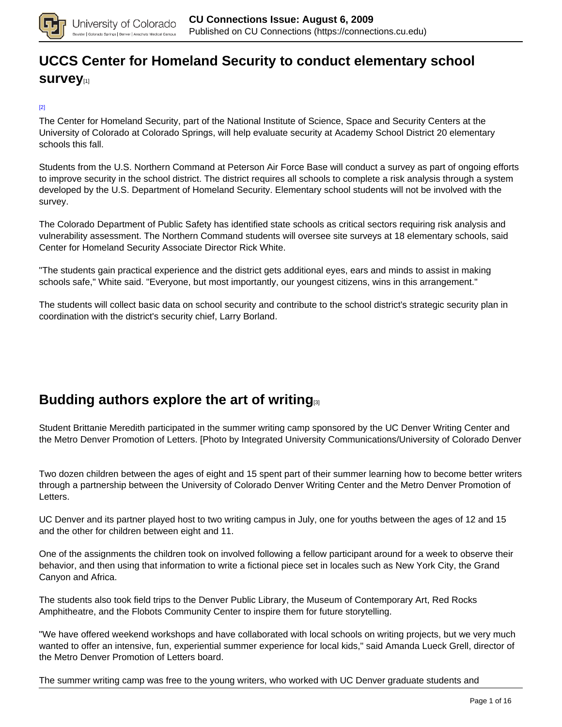

# **[UCCS Center for Homeland Security to conduct elementary school](https://connections.cu.edu/stories/uccs-center-homeland-security-conduct-elementary-school-survey) [survey](https://connections.cu.edu/stories/uccs-center-homeland-security-conduct-elementary-school-survey)**[1]

#### [2]

The Center for Homeland Security, part of the National Institute of Science, Space and Security Centers at the University of Colorado at Colorado Springs, will help evaluate security at Academy School District 20 elementary schools this fall.

Students from the U.S. Northern Command at Peterson Air Force Base will conduct a survey as part of ongoing efforts to improve security in the school district. The district requires all schools to complete a risk analysis through a system developed by the U.S. Department of Homeland Security. Elementary school students will not be involved with the survey.

The Colorado Department of Public Safety has identified state schools as critical sectors requiring risk analysis and vulnerability assessment. The Northern Command students will oversee site surveys at 18 elementary schools, said Center for Homeland Security Associate Director Rick White.

"The students gain practical experience and the district gets additional eyes, ears and minds to assist in making schools safe," White said. "Everyone, but most importantly, our youngest citizens, wins in this arrangement."

The students will collect basic data on school security and contribute to the school district's strategic security plan in coordination with the district's security chief, Larry Borland.

## **Budding authors explore the art of writing**

Student Brittanie Meredith participated in the summer writing camp sponsored by the UC Denver Writing Center and the Metro Denver Promotion of Letters. [Photo by Integrated University Communications/University of Colorado Denver

Two dozen children between the ages of eight and 15 spent part of their summer learning how to become better writers through a partnership between the University of Colorado Denver Writing Center and the Metro Denver Promotion of Letters.

UC Denver and its partner played host to two writing campus in July, one for youths between the ages of 12 and 15 and the other for children between eight and 11.

One of the assignments the children took on involved following a fellow participant around for a week to observe their behavior, and then using that information to write a fictional piece set in locales such as New York City, the Grand Canyon and Africa.

The students also took field trips to the Denver Public Library, the Museum of Contemporary Art, Red Rocks Amphitheatre, and the Flobots Community Center to inspire them for future storytelling.

"We have offered weekend workshops and have collaborated with local schools on writing projects, but we very much wanted to offer an intensive, fun, experiential summer experience for local kids," said Amanda Lueck Grell, director of the Metro Denver Promotion of Letters board.

The summer writing camp was free to the young writers, who worked with UC Denver graduate students and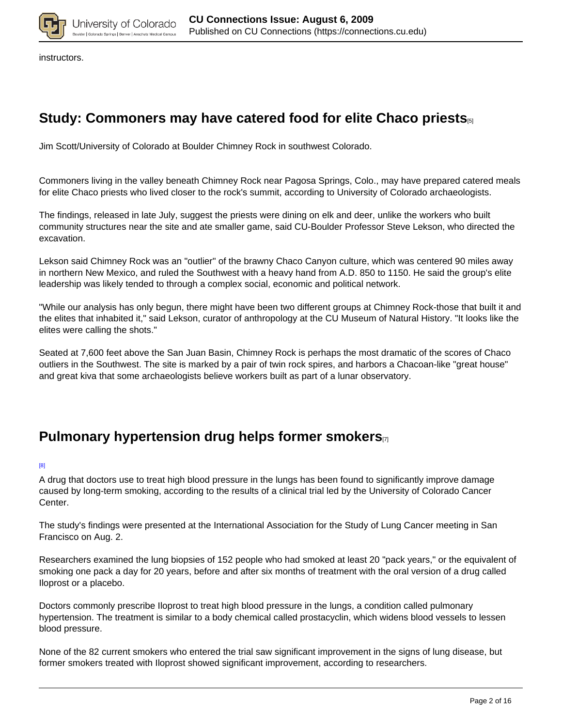

instructors.

## **Study: Commoners may have catered food for elite Chaco priests**[5]

Jim Scott/University of Colorado at Boulder Chimney Rock in southwest Colorado.

Commoners living in the valley beneath Chimney Rock near Pagosa Springs, Colo., may have prepared catered meals for elite Chaco priests who lived closer to the rock's summit, according to University of Colorado archaeologists.

The findings, released in late July, suggest the priests were dining on elk and deer, unlike the workers who built community structures near the site and ate smaller game, said CU-Boulder Professor Steve Lekson, who directed the excavation.

Lekson said Chimney Rock was an "outlier" of the brawny Chaco Canyon culture, which was centered 90 miles away in northern New Mexico, and ruled the Southwest with a heavy hand from A.D. 850 to 1150. He said the group's elite leadership was likely tended to through a complex social, economic and political network.

"While our analysis has only begun, there might have been two different groups at Chimney Rock-those that built it and the elites that inhabited it," said Lekson, curator of anthropology at the CU Museum of Natural History. "It looks like the elites were calling the shots."

Seated at 7,600 feet above the San Juan Basin, Chimney Rock is perhaps the most dramatic of the scores of Chaco outliers in the Southwest. The site is marked by a pair of twin rock spires, and harbors a Chacoan-like "great house" and great kiva that some archaeologists believe workers built as part of a lunar observatory.

### **Pulmonary hypertension drug helps former smokers**

#### [8]

A drug that doctors use to treat high blood pressure in the lungs has been found to significantly improve damage caused by long-term smoking, according to the results of a clinical trial led by the University of Colorado Cancer Center.

The study's findings were presented at the International Association for the Study of Lung Cancer meeting in San Francisco on Aug. 2.

Researchers examined the lung biopsies of 152 people who had smoked at least 20 "pack years," or the equivalent of smoking one pack a day for 20 years, before and after six months of treatment with the oral version of a drug called Iloprost or a placebo.

Doctors commonly prescribe Iloprost to treat high blood pressure in the lungs, a condition called pulmonary hypertension. The treatment is similar to a body chemical called prostacyclin, which widens blood vessels to lessen blood pressure.

None of the 82 current smokers who entered the trial saw significant improvement in the signs of lung disease, but former smokers treated with Iloprost showed significant improvement, according to researchers.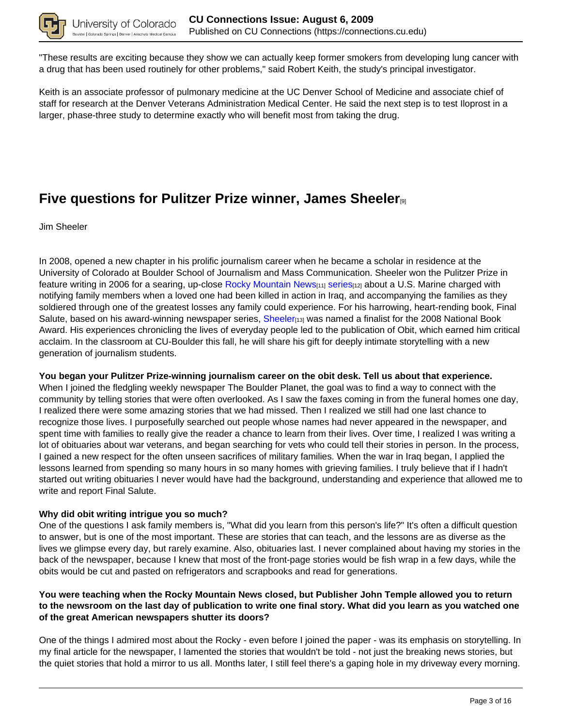

"These results are exciting because they show we can actually keep former smokers from developing lung cancer with a drug that has been used routinely for other problems," said Robert Keith, the study's principal investigator.

Keith is an associate professor of pulmonary medicine at the UC Denver School of Medicine and associate chief of staff for research at the Denver Veterans Administration Medical Center. He said the next step is to test Iloprost in a larger, phase-three study to determine exactly who will benefit most from taking the drug.

## **Five questions for Pulitzer Prize winner, James Sheeler**[9]

Jim Sheeler

In 2008, opened a new chapter in his prolific journalism career when he became a scholar in residence at the University of Colorado at Boulder School of Journalism and Mass Communication. Sheeler won the Pulitzer Prize in feature writing in 2006 for a searing, up-close Rocky Mountain News<sub>[11]</sub> series<sub>[12]</sub> about a U.S. Marine charged with notifying family members when a loved one had been killed in action in Iraq, and accompanying the families as they soldiered through one of the greatest losses any family could experience. For his harrowing, heart-rending book, Final Salute, based on his award-winning newspaper series, Sheeler<sub>[13]</sub> was named a finalist for the 2008 National Book Award. His experiences chronicling the lives of everyday people led to the publication of Obit, which earned him critical acclaim. In the classroom at CU-Boulder this fall, he will share his gift for deeply intimate storytelling with a new generation of journalism students.

### **You began your Pulitzer Prize-winning journalism career on the obit desk. Tell us about that experience.**

When I joined the fledgling weekly newspaper The Boulder Planet, the goal was to find a way to connect with the community by telling stories that were often overlooked. As I saw the faxes coming in from the funeral homes one day, I realized there were some amazing stories that we had missed. Then I realized we still had one last chance to recognize those lives. I purposefully searched out people whose names had never appeared in the newspaper, and spent time with families to really give the reader a chance to learn from their lives. Over time, I realized I was writing a lot of obituaries about war veterans, and began searching for vets who could tell their stories in person. In the process, I gained a new respect for the often unseen sacrifices of military families. When the war in Iraq began, I applied the lessons learned from spending so many hours in so many homes with grieving families. I truly believe that if I hadn't started out writing obituaries I never would have had the background, understanding and experience that allowed me to write and report Final Salute.

### **Why did obit writing intrigue you so much?**

One of the questions I ask family members is, "What did you learn from this person's life?" It's often a difficult question to answer, but is one of the most important. These are stories that can teach, and the lessons are as diverse as the lives we glimpse every day, but rarely examine. Also, obituaries last. I never complained about having my stories in the back of the newspaper, because I knew that most of the front-page stories would be fish wrap in a few days, while the obits would be cut and pasted on refrigerators and scrapbooks and read for generations.

### **You were teaching when the Rocky Mountain News closed, but Publisher John Temple allowed you to return to the newsroom on the last day of publication to write one final story. What did you learn as you watched one of the great American newspapers shutter its doors?**

One of the things I admired most about the Rocky - even before I joined the paper - was its emphasis on storytelling. In my final article for the newspaper, I lamented the stories that wouldn't be told - not just the breaking news stories, but the quiet stories that hold a mirror to us all. Months later, I still feel there's a gaping hole in my driveway every morning.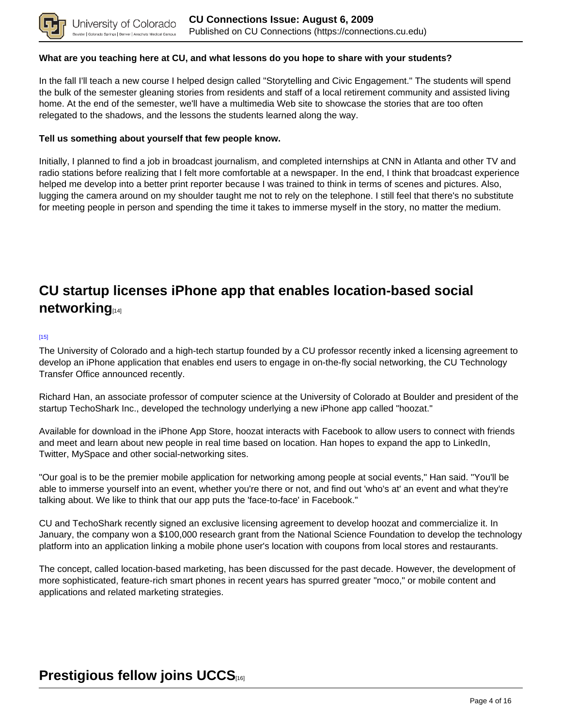

### **What are you teaching here at CU, and what lessons do you hope to share with your students?**

In the fall I'll teach a new course I helped design called "Storytelling and Civic Engagement." The students will spend the bulk of the semester gleaning stories from residents and staff of a local retirement community and assisted living home. At the end of the semester, we'll have a multimedia Web site to showcase the stories that are too often relegated to the shadows, and the lessons the students learned along the way.

### **Tell us something about yourself that few people know.**

Initially, I planned to find a job in broadcast journalism, and completed internships at CNN in Atlanta and other TV and radio stations before realizing that I felt more comfortable at a newspaper. In the end, I think that broadcast experience helped me develop into a better print reporter because I was trained to think in terms of scenes and pictures. Also, lugging the camera around on my shoulder taught me not to rely on the telephone. I still feel that there's no substitute for meeting people in person and spending the time it takes to immerse myself in the story, no matter the medium.

## **CU startup licenses iPhone app that enables location-based social networking**[14]

#### [15]

The University of Colorado and a high-tech startup founded by a CU professor recently inked a licensing agreement to develop an iPhone application that enables end users to engage in on-the-fly social networking, the CU Technology Transfer Office announced recently.

Richard Han, an associate professor of computer science at the University of Colorado at Boulder and president of the startup TechoShark Inc., developed the technology underlying a new iPhone app called "hoozat."

Available for download in the iPhone App Store, hoozat interacts with Facebook to allow users to connect with friends and meet and learn about new people in real time based on location. Han hopes to expand the app to LinkedIn, Twitter, MySpace and other social-networking sites.

"Our goal is to be the premier mobile application for networking among people at social events," Han said. "You'll be able to immerse yourself into an event, whether you're there or not, and find out 'who's at' an event and what they're talking about. We like to think that our app puts the 'face-to-face' in Facebook."

CU and TechoShark recently signed an exclusive licensing agreement to develop hoozat and commercialize it. In January, the company won a \$100,000 research grant from the National Science Foundation to develop the technology platform into an application linking a mobile phone user's location with coupons from local stores and restaurants.

The concept, called location-based marketing, has been discussed for the past decade. However, the development of more sophisticated, feature-rich smart phones in recent years has spurred greater "moco," or mobile content and applications and related marketing strategies.

## **Prestigious fellow joins UCCS**[16]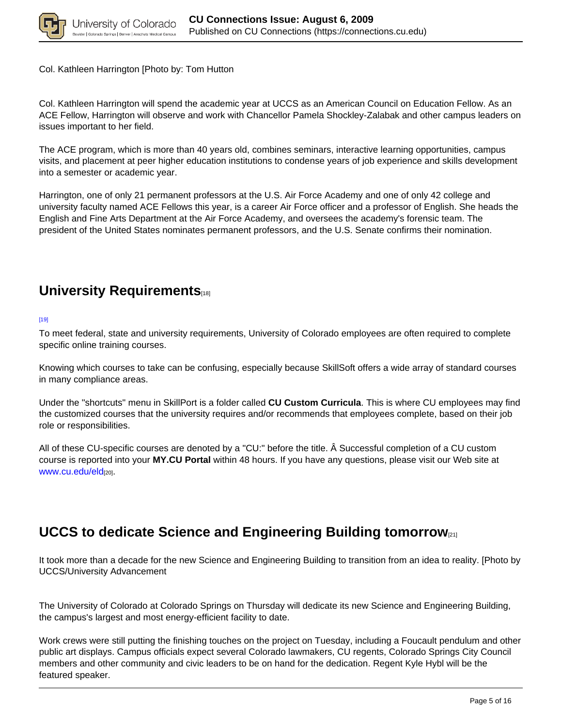

Col. Kathleen Harrington [Photo by: Tom Hutton

Col. Kathleen Harrington will spend the academic year at UCCS as an American Council on Education Fellow. As an ACE Fellow, Harrington will observe and work with Chancellor Pamela Shockley-Zalabak and other campus leaders on issues important to her field.

The ACE program, which is more than 40 years old, combines seminars, interactive learning opportunities, campus visits, and placement at peer higher education institutions to condense years of job experience and skills development into a semester or academic year.

Harrington, one of only 21 permanent professors at the U.S. Air Force Academy and one of only 42 college and university faculty named ACE Fellows this year, is a career Air Force officer and a professor of English. She heads the English and Fine Arts Department at the Air Force Academy, and oversees the academy's forensic team. The president of the United States nominates permanent professors, and the U.S. Senate confirms their nomination.

# **University Requirements**

[19]

To meet federal, state and university requirements, University of Colorado employees are often required to complete specific online training courses.

Knowing which courses to take can be confusing, especially because SkillSoft offers a wide array of standard courses in many compliance areas.

Under the "shortcuts" menu in SkillPort is a folder called **CU Custom Curricula**. This is where CU employees may find the customized courses that the university requires and/or recommends that employees complete, based on their job role or responsibilities.

All of these CU-specific courses are denoted by a "CU:" before the title. Â Successful completion of a CU custom course is reported into your **MY.CU Portal** within 48 hours. If you have any questions, please visit our Web site at www.cu.edu/eld[20].

## **UCCS to dedicate Science and Engineering Building tomorrow**[21]

It took more than a decade for the new Science and Engineering Building to transition from an idea to reality. [Photo by UCCS/University Advancement

The University of Colorado at Colorado Springs on Thursday will dedicate its new Science and Engineering Building, the campus's largest and most energy-efficient facility to date.

Work crews were still putting the finishing touches on the project on Tuesday, including a Foucault pendulum and other public art displays. Campus officials expect several Colorado lawmakers, CU regents, Colorado Springs City Council members and other community and civic leaders to be on hand for the dedication. Regent Kyle Hybl will be the featured speaker.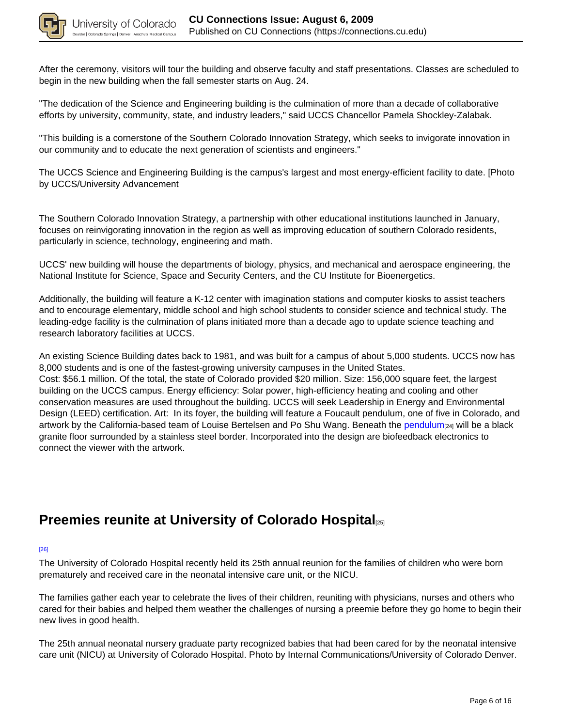

After the ceremony, visitors will tour the building and observe faculty and staff presentations. Classes are scheduled to begin in the new building when the fall semester starts on Aug. 24.

"The dedication of the Science and Engineering building is the culmination of more than a decade of collaborative efforts by university, community, state, and industry leaders," said UCCS Chancellor Pamela Shockley-Zalabak.

"This building is a cornerstone of the Southern Colorado Innovation Strategy, which seeks to invigorate innovation in our community and to educate the next generation of scientists and engineers."

The UCCS Science and Engineering Building is the campus's largest and most energy-efficient facility to date. [Photo by UCCS/University Advancement

The Southern Colorado Innovation Strategy, a partnership with other educational institutions launched in January, focuses on reinvigorating innovation in the region as well as improving education of southern Colorado residents, particularly in science, technology, engineering and math.

UCCS' new building will house the departments of biology, physics, and mechanical and aerospace engineering, the National Institute for Science, Space and Security Centers, and the CU Institute for Bioenergetics.

Additionally, the building will feature a K-12 center with imagination stations and computer kiosks to assist teachers and to encourage elementary, middle school and high school students to consider science and technical study. The leading-edge facility is the culmination of plans initiated more than a decade ago to update science teaching and research laboratory facilities at UCCS.

An existing Science Building dates back to 1981, and was built for a campus of about 5,000 students. UCCS now has 8,000 students and is one of the fastest-growing university campuses in the United States. Cost: \$56.1 million. Of the total, the state of Colorado provided \$20 million. Size: 156,000 square feet, the largest building on the UCCS campus. Energy efficiency: Solar power, high-efficiency heating and cooling and other conservation measures are used throughout the building. UCCS will seek Leadership in Energy and Environmental Design (LEED) certification. Art: In its foyer, the building will feature a Foucault pendulum, one of five in Colorado, and artwork by the California-based team of Louise Bertelsen and Po Shu Wang. Beneath the pendulum<sub>[24]</sub> will be a black granite floor surrounded by a stainless steel border. Incorporated into the design are biofeedback electronics to connect the viewer with the artwork.

## **Preemies reunite at University of Colorado Hospital**[25]

#### [26]

The University of Colorado Hospital recently held its 25th annual reunion for the families of children who were born prematurely and received care in the neonatal intensive care unit, or the NICU.

The families gather each year to celebrate the lives of their children, reuniting with physicians, nurses and others who cared for their babies and helped them weather the challenges of nursing a preemie before they go home to begin their new lives in good health.

The 25th annual neonatal nursery graduate party recognized babies that had been cared for by the neonatal intensive care unit (NICU) at University of Colorado Hospital. Photo by Internal Communications/University of Colorado Denver.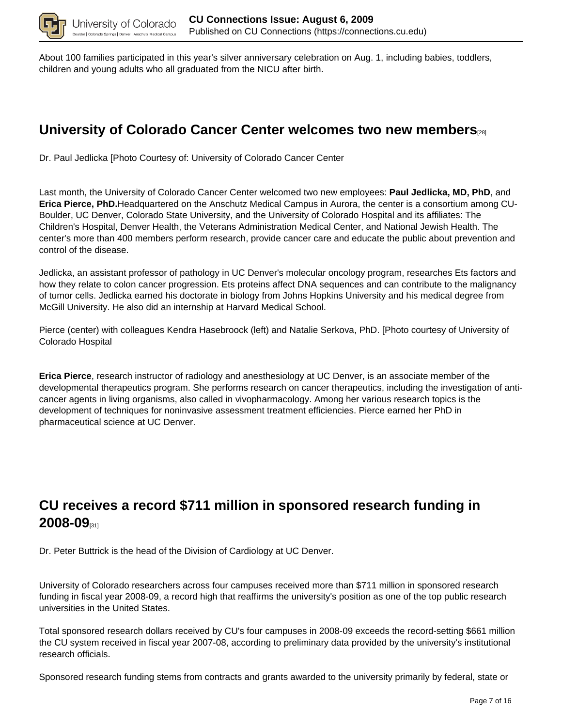

About 100 families participated in this year's silver anniversary celebration on Aug. 1, including babies, toddlers, children and young adults who all graduated from the NICU after birth.

# **University of Colorado Cancer Center welcomes two new members**[28]

Dr. Paul Jedlicka [Photo Courtesy of: University of Colorado Cancer Center

Last month, the University of Colorado Cancer Center welcomed two new employees: **Paul Jedlicka, MD, PhD**, and **Erica Pierce, PhD.**Headquartered on the Anschutz Medical Campus in Aurora, the center is a consortium among CU-Boulder, UC Denver, Colorado State University, and the University of Colorado Hospital and its affiliates: The Children's Hospital, Denver Health, the Veterans Administration Medical Center, and National Jewish Health. The center's more than 400 members perform research, provide cancer care and educate the public about prevention and control of the disease.

Jedlicka, an assistant professor of pathology in UC Denver's molecular oncology program, researches Ets factors and how they relate to colon cancer progression. Ets proteins affect DNA sequences and can contribute to the malignancy of tumor cells. Jedlicka earned his doctorate in biology from Johns Hopkins University and his medical degree from McGill University. He also did an internship at Harvard Medical School.

Pierce (center) with colleagues Kendra Hasebroock (left) and Natalie Serkova, PhD. [Photo courtesy of University of Colorado Hospital

**Erica Pierce**, research instructor of radiology and anesthesiology at UC Denver, is an associate member of the developmental therapeutics program. She performs research on cancer therapeutics, including the investigation of anticancer agents in living organisms, also called in vivopharmacology. Among her various research topics is the development of techniques for noninvasive assessment treatment efficiencies. Pierce earned her PhD in pharmaceutical science at UC Denver.

## **CU receives a record \$711 million in sponsored research funding in 2008-09**[31]

Dr. Peter Buttrick is the head of the Division of Cardiology at UC Denver.

University of Colorado researchers across four campuses received more than \$711 million in sponsored research funding in fiscal year 2008-09, a record high that reaffirms the university's position as one of the top public research universities in the United States.

Total sponsored research dollars received by CU's four campuses in 2008-09 exceeds the record-setting \$661 million the CU system received in fiscal year 2007-08, according to preliminary data provided by the university's institutional research officials.

Sponsored research funding stems from contracts and grants awarded to the university primarily by federal, state or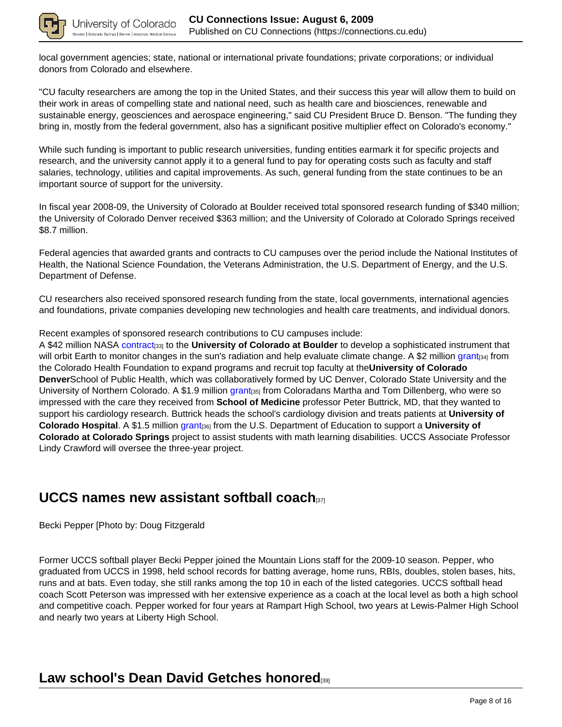

lo Springs | Den

local government agencies; state, national or international private foundations; private corporations; or individual donors from Colorado and elsewhere.

"CU faculty researchers are among the top in the United States, and their success this year will allow them to build on their work in areas of compelling state and national need, such as health care and biosciences, renewable and sustainable energy, geosciences and aerospace engineering," said CU President Bruce D. Benson. "The funding they bring in, mostly from the federal government, also has a significant positive multiplier effect on Colorado's economy."

While such funding is important to public research universities, funding entities earmark it for specific projects and research, and the university cannot apply it to a general fund to pay for operating costs such as faculty and staff salaries, technology, utilities and capital improvements. As such, general funding from the state continues to be an important source of support for the university.

In fiscal year 2008-09, the University of Colorado at Boulder received total sponsored research funding of \$340 million; the University of Colorado Denver received \$363 million; and the University of Colorado at Colorado Springs received \$8.7 million.

Federal agencies that awarded grants and contracts to CU campuses over the period include the National Institutes of Health, the National Science Foundation, the Veterans Administration, the U.S. Department of Energy, and the U.S. Department of Defense.

CU researchers also received sponsored research funding from the state, local governments, international agencies and foundations, private companies developing new technologies and health care treatments, and individual donors.

Recent examples of sponsored research contributions to CU campuses include:

A \$42 million NASA contract<sub>[33]</sub> to the **University of Colorado at Boulder** to develop a sophisticated instrument that will orbit Earth to monitor changes in the sun's radiation and help evaluate climate change. A \$2 million grant<sub>[34]</sub> from the Colorado Health Foundation to expand programs and recruit top faculty at the**University of Colorado Denver**School of Public Health, which was collaboratively formed by UC Denver, Colorado State University and the University of Northern Colorado. A \$1.9 million grant<sub>[35]</sub> from Coloradans Martha and Tom Dillenberg, who were so impressed with the care they received from **School of Medicine** professor Peter Buttrick, MD, that they wanted to support his cardiology research. Buttrick heads the school's cardiology division and treats patients at **University of Colorado Hospital**. A \$1.5 million grant[36] from the U.S. Department of Education to support a **University of Colorado at Colorado Springs** project to assist students with math learning disabilities. UCCS Associate Professor Lindy Crawford will oversee the three-year project.

### **UCCS names new assistant softball coach**[37]

Becki Pepper [Photo by: Doug Fitzgerald

Former UCCS softball player Becki Pepper joined the Mountain Lions staff for the 2009-10 season. Pepper, who graduated from UCCS in 1998, held school records for batting average, home runs, RBIs, doubles, stolen bases, hits, runs and at bats. Even today, she still ranks among the top 10 in each of the listed categories. UCCS softball head coach Scott Peterson was impressed with her extensive experience as a coach at the local level as both a high school and competitive coach. Pepper worked for four years at Rampart High School, two years at Lewis-Palmer High School and nearly two years at Liberty High School.

## **Law school's Dean David Getches honored**[39]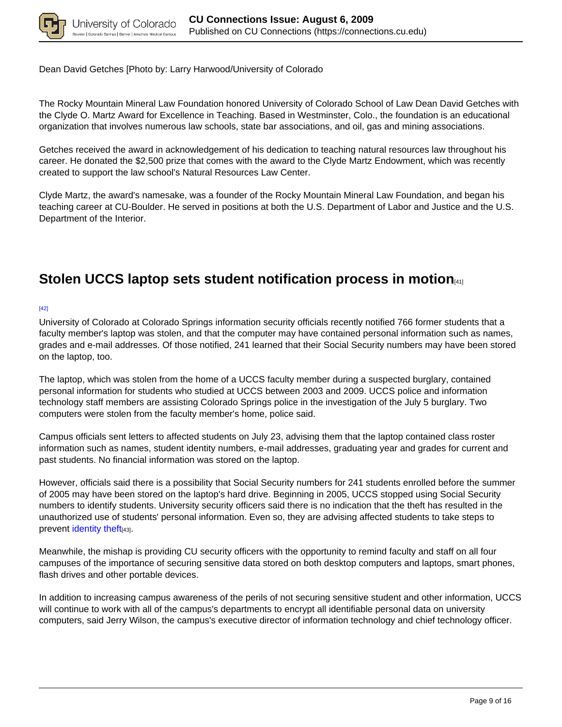

Dean David Getches [Photo by: Larry Harwood/University of Colorado

The Rocky Mountain Mineral Law Foundation honored University of Colorado School of Law Dean David Getches with the Clyde O. Martz Award for Excellence in Teaching. Based in Westminster, Colo., the foundation is an educational organization that involves numerous law schools, state bar associations, and oil, gas and mining associations.

Getches received the award in acknowledgement of his dedication to teaching natural resources law throughout his career. He donated the \$2,500 prize that comes with the award to the Clyde Martz Endowment, which was recently created to support the law school's Natural Resources Law Center.

Clyde Martz, the award's namesake, was a founder of the Rocky Mountain Mineral Law Foundation, and began his teaching career at CU-Boulder. He served in positions at both the U.S. Department of Labor and Justice and the U.S. Department of the Interior.

## **Stolen UCCS laptop sets student notification process in motion**[41]

### [42]

University of Colorado at Colorado Springs information security officials recently notified 766 former students that a faculty member's laptop was stolen, and that the computer may have contained personal information such as names, grades and e-mail addresses. Of those notified, 241 learned that their Social Security numbers may have been stored on the laptop, too.

The laptop, which was stolen from the home of a UCCS faculty member during a suspected burglary, contained personal information for students who studied at UCCS between 2003 and 2009. UCCS police and information technology staff members are assisting Colorado Springs police in the investigation of the July 5 burglary. Two computers were stolen from the faculty member's home, police said.

Campus officials sent letters to affected students on July 23, advising them that the laptop contained class roster information such as names, student identity numbers, e-mail addresses, graduating year and grades for current and past students. No financial information was stored on the laptop.

However, officials said there is a possibility that Social Security numbers for 241 students enrolled before the summer of 2005 may have been stored on the laptop's hard drive. Beginning in 2005, UCCS stopped using Social Security numbers to identify students. University security officers said there is no indication that the theft has resulted in the unauthorized use of students' personal information. Even so, they are advising affected students to take steps to prevent identity theft[43].

Meanwhile, the mishap is providing CU security officers with the opportunity to remind faculty and staff on all four campuses of the importance of securing sensitive data stored on both desktop computers and laptops, smart phones, flash drives and other portable devices.

In addition to increasing campus awareness of the perils of not securing sensitive student and other information, UCCS will continue to work with all of the campus's departments to encrypt all identifiable personal data on university computers, said Jerry Wilson, the campus's executive director of information technology and chief technology officer.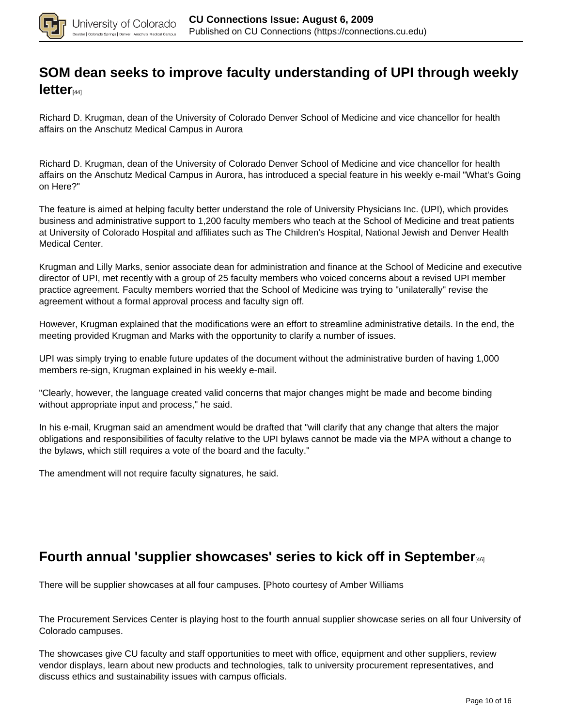

## **SOM dean seeks to improve faculty understanding of UPI through weekly letter**[44]

Richard D. Krugman, dean of the University of Colorado Denver School of Medicine and vice chancellor for health affairs on the Anschutz Medical Campus in Aurora

Richard D. Krugman, dean of the University of Colorado Denver School of Medicine and vice chancellor for health affairs on the Anschutz Medical Campus in Aurora, has introduced a special feature in his weekly e-mail "What's Going on Here?"

The feature is aimed at helping faculty better understand the role of University Physicians Inc. (UPI), which provides business and administrative support to 1,200 faculty members who teach at the School of Medicine and treat patients at University of Colorado Hospital and affiliates such as The Children's Hospital, National Jewish and Denver Health Medical Center.

Krugman and Lilly Marks, senior associate dean for administration and finance at the School of Medicine and executive director of UPI, met recently with a group of 25 faculty members who voiced concerns about a revised UPI member practice agreement. Faculty members worried that the School of Medicine was trying to "unilaterally" revise the agreement without a formal approval process and faculty sign off.

However, Krugman explained that the modifications were an effort to streamline administrative details. In the end, the meeting provided Krugman and Marks with the opportunity to clarify a number of issues.

UPI was simply trying to enable future updates of the document without the administrative burden of having 1,000 members re-sign, Krugman explained in his weekly e-mail.

"Clearly, however, the language created valid concerns that major changes might be made and become binding without appropriate input and process," he said.

In his e-mail, Krugman said an amendment would be drafted that "will clarify that any change that alters the major obligations and responsibilities of faculty relative to the UPI bylaws cannot be made via the MPA without a change to the bylaws, which still requires a vote of the board and the faculty."

The amendment will not require faculty signatures, he said.

## **Fourth annual 'supplier showcases' series to kick off in September**[46]

There will be supplier showcases at all four campuses. [Photo courtesy of Amber Williams

The Procurement Services Center is playing host to the fourth annual supplier showcase series on all four University of Colorado campuses.

The showcases give CU faculty and staff opportunities to meet with office, equipment and other suppliers, review vendor displays, learn about new products and technologies, talk to university procurement representatives, and discuss ethics and sustainability issues with campus officials.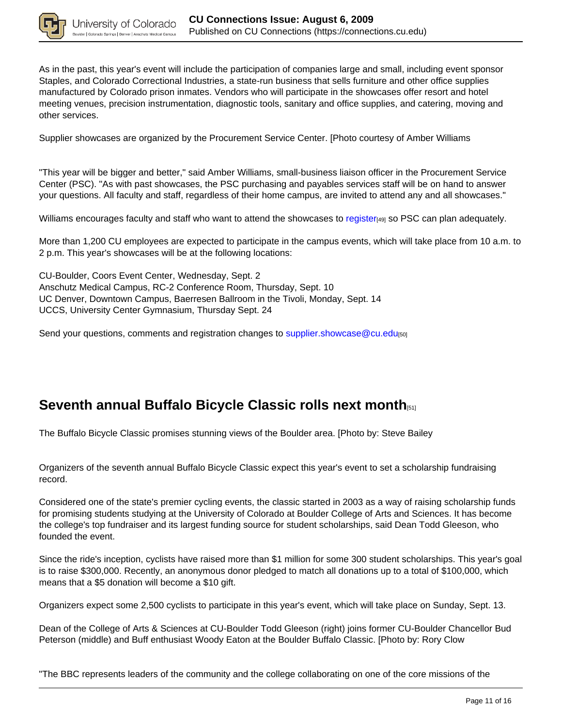

As in the past, this year's event will include the participation of companies large and small, including event sponsor Staples, and Colorado Correctional Industries, a state-run business that sells furniture and other office supplies manufactured by Colorado prison inmates. Vendors who will participate in the showcases offer resort and hotel meeting venues, precision instrumentation, diagnostic tools, sanitary and office supplies, and catering, moving and other services.

Supplier showcases are organized by the Procurement Service Center. [Photo courtesy of Amber Williams

"This year will be bigger and better," said Amber Williams, small-business liaison officer in the Procurement Service Center (PSC). "As with past showcases, the PSC purchasing and payables services staff will be on hand to answer your questions. All faculty and staff, regardless of their home campus, are invited to attend any and all showcases."

Williams encourages faculty and staff who want to attend the showcases to register[49] so PSC can plan adequately.

More than 1,200 CU employees are expected to participate in the campus events, which will take place from 10 a.m. to 2 p.m. This year's showcases will be at the following locations:

CU-Boulder, Coors Event Center, Wednesday, Sept. 2 Anschutz Medical Campus, RC-2 Conference Room, Thursday, Sept. 10 UC Denver, Downtown Campus, Baerresen Ballroom in the Tivoli, Monday, Sept. 14 UCCS, University Center Gymnasium, Thursday Sept. 24

Send your questions, comments and registration changes to supplier.showcase@cu.edu[50]

## **Seventh annual Buffalo Bicycle Classic rolls next month**[51]

The Buffalo Bicycle Classic promises stunning views of the Boulder area. [Photo by: Steve Bailey

Organizers of the seventh annual Buffalo Bicycle Classic expect this year's event to set a scholarship fundraising record.

Considered one of the state's premier cycling events, the classic started in 2003 as a way of raising scholarship funds for promising students studying at the University of Colorado at Boulder College of Arts and Sciences. It has become the college's top fundraiser and its largest funding source for student scholarships, said Dean Todd Gleeson, who founded the event.

Since the ride's inception, cyclists have raised more than \$1 million for some 300 student scholarships. This year's goal is to raise \$300,000. Recently, an anonymous donor pledged to match all donations up to a total of \$100,000, which means that a \$5 donation will become a \$10 gift.

Organizers expect some 2,500 cyclists to participate in this year's event, which will take place on Sunday, Sept. 13.

Dean of the College of Arts & Sciences at CU-Boulder Todd Gleeson (right) joins former CU-Boulder Chancellor Bud Peterson (middle) and Buff enthusiast Woody Eaton at the Boulder Buffalo Classic. [Photo by: Rory Clow

"The BBC represents leaders of the community and the college collaborating on one of the core missions of the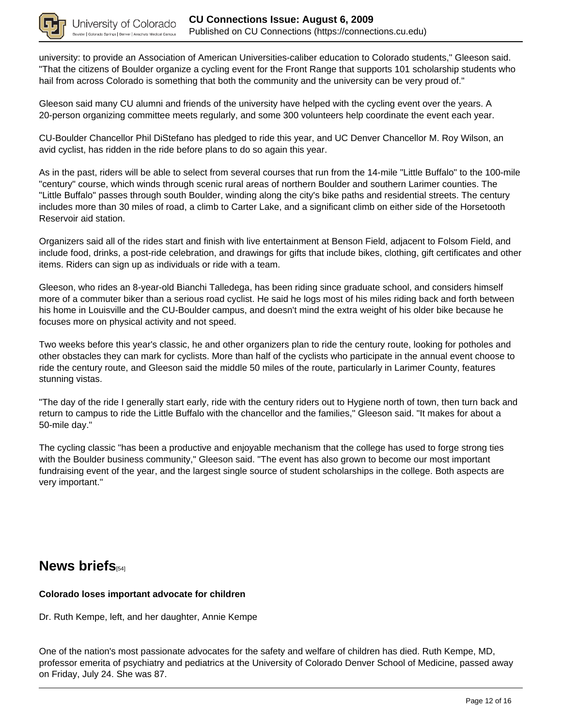

university: to provide an Association of American Universities-caliber education to Colorado students," Gleeson said. "That the citizens of Boulder organize a cycling event for the Front Range that supports 101 scholarship students who hail from across Colorado is something that both the community and the university can be very proud of."

Gleeson said many CU alumni and friends of the university have helped with the cycling event over the years. A 20-person organizing committee meets regularly, and some 300 volunteers help coordinate the event each year.

CU-Boulder Chancellor Phil DiStefano has pledged to ride this year, and UC Denver Chancellor M. Roy Wilson, an avid cyclist, has ridden in the ride before plans to do so again this year.

As in the past, riders will be able to select from several courses that run from the 14-mile "Little Buffalo" to the 100-mile "century" course, which winds through scenic rural areas of northern Boulder and southern Larimer counties. The "Little Buffalo" passes through south Boulder, winding along the city's bike paths and residential streets. The century includes more than 30 miles of road, a climb to Carter Lake, and a significant climb on either side of the Horsetooth Reservoir aid station.

Organizers said all of the rides start and finish with live entertainment at Benson Field, adjacent to Folsom Field, and include food, drinks, a post-ride celebration, and drawings for gifts that include bikes, clothing, gift certificates and other items. Riders can sign up as individuals or ride with a team.

Gleeson, who rides an 8-year-old Bianchi Talledega, has been riding since graduate school, and considers himself more of a commuter biker than a serious road cyclist. He said he logs most of his miles riding back and forth between his home in Louisville and the CU-Boulder campus, and doesn't mind the extra weight of his older bike because he focuses more on physical activity and not speed.

Two weeks before this year's classic, he and other organizers plan to ride the century route, looking for potholes and other obstacles they can mark for cyclists. More than half of the cyclists who participate in the annual event choose to ride the century route, and Gleeson said the middle 50 miles of the route, particularly in Larimer County, features stunning vistas.

"The day of the ride I generally start early, ride with the century riders out to Hygiene north of town, then turn back and return to campus to ride the Little Buffalo with the chancellor and the families," Gleeson said. "It makes for about a 50-mile day."

The cycling classic "has been a productive and enjoyable mechanism that the college has used to forge strong ties with the Boulder business community," Gleeson said. "The event has also grown to become our most important fundraising event of the year, and the largest single source of student scholarships in the college. Both aspects are very important."

### **News briefs**

### **Colorado loses important advocate for children**

Dr. Ruth Kempe, left, and her daughter, Annie Kempe

One of the nation's most passionate advocates for the safety and welfare of children has died. Ruth Kempe, MD, professor emerita of psychiatry and pediatrics at the University of Colorado Denver School of Medicine, passed away on Friday, July 24. She was 87.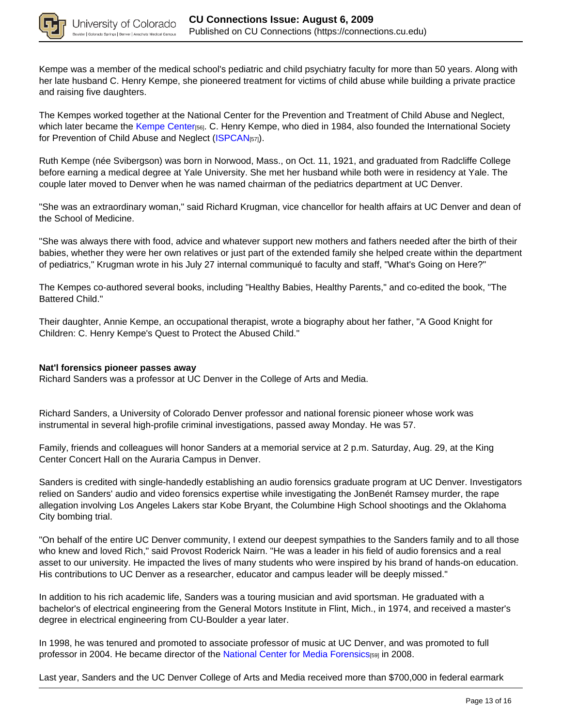

Kempe was a member of the medical school's pediatric and child psychiatry faculty for more than 50 years. Along with her late husband C. Henry Kempe, she pioneered treatment for victims of child abuse while building a private practice and raising five daughters.

The Kempes worked together at the National Center for the Prevention and Treatment of Child Abuse and Neglect, which later became the Kempe Center[56]. C. Henry Kempe, who died in 1984, also founded the International Society for Prevention of Child Abuse and Neglect (ISPCAN<sub>[57]</sub>).

Ruth Kempe (née Svibergson) was born in Norwood, Mass., on Oct. 11, 1921, and graduated from Radcliffe College before earning a medical degree at Yale University. She met her husband while both were in residency at Yale. The couple later moved to Denver when he was named chairman of the pediatrics department at UC Denver.

"She was an extraordinary woman," said Richard Krugman, vice chancellor for health affairs at UC Denver and dean of the School of Medicine.

"She was always there with food, advice and whatever support new mothers and fathers needed after the birth of their babies, whether they were her own relatives or just part of the extended family she helped create within the department of pediatrics," Krugman wrote in his July 27 internal communiqué to faculty and staff, "What's Going on Here?"

The Kempes co-authored several books, including "Healthy Babies, Healthy Parents," and co-edited the book, "The Battered Child."

Their daughter, Annie Kempe, an occupational therapist, wrote a biography about her father, "A Good Knight for Children: C. Henry Kempe's Quest to Protect the Abused Child."

#### **Nat'l forensics pioneer passes away**

Richard Sanders was a professor at UC Denver in the College of Arts and Media.

Richard Sanders, a University of Colorado Denver professor and national forensic pioneer whose work was instrumental in several high-profile criminal investigations, passed away Monday. He was 57.

Family, friends and colleagues will honor Sanders at a memorial service at 2 p.m. Saturday, Aug. 29, at the King Center Concert Hall on the Auraria Campus in Denver.

Sanders is credited with single-handedly establishing an audio forensics graduate program at UC Denver. Investigators relied on Sanders' audio and video forensics expertise while investigating the JonBenét Ramsey murder, the rape allegation involving Los Angeles Lakers star Kobe Bryant, the Columbine High School shootings and the Oklahoma City bombing trial.

"On behalf of the entire UC Denver community, I extend our deepest sympathies to the Sanders family and to all those who knew and loved Rich," said Provost Roderick Nairn. "He was a leader in his field of audio forensics and a real asset to our university. He impacted the lives of many students who were inspired by his brand of hands-on education. His contributions to UC Denver as a researcher, educator and campus leader will be deeply missed."

In addition to his rich academic life, Sanders was a touring musician and avid sportsman. He graduated with a bachelor's of electrical engineering from the General Motors Institute in Flint, Mich., in 1974, and received a master's degree in electrical engineering from CU-Boulder a year later.

In 1998, he was tenured and promoted to associate professor of music at UC Denver, and was promoted to full professor in 2004. He became director of the National Center for Media Forensics[59] in 2008.

Last year, Sanders and the UC Denver College of Arts and Media received more than \$700,000 in federal earmark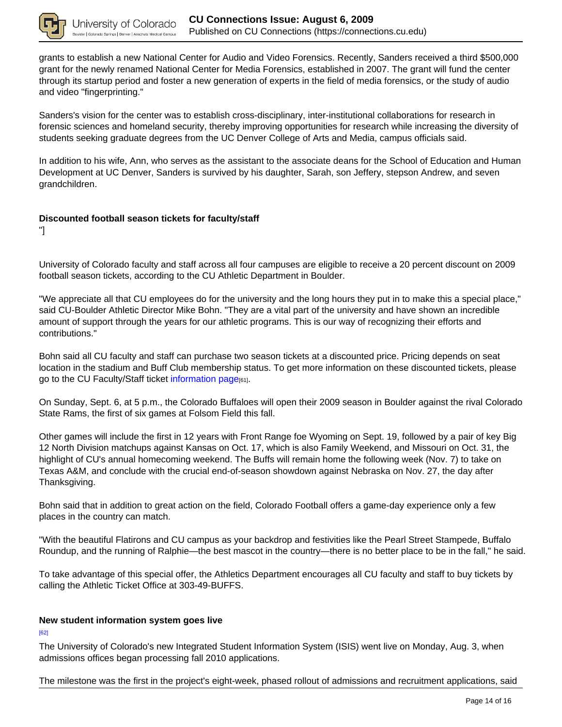

grants to establish a new National Center for Audio and Video Forensics. Recently, Sanders received a third \$500,000 grant for the newly renamed National Center for Media Forensics, established in 2007. The grant will fund the center through its startup period and foster a new generation of experts in the field of media forensics, or the study of audio and video "fingerprinting."

Sanders's vision for the center was to establish cross-disciplinary, inter-institutional collaborations for research in forensic sciences and homeland security, thereby improving opportunities for research while increasing the diversity of students seeking graduate degrees from the UC Denver College of Arts and Media, campus officials said.

In addition to his wife, Ann, who serves as the assistant to the associate deans for the School of Education and Human Development at UC Denver, Sanders is survived by his daughter, Sarah, son Jeffery, stepson Andrew, and seven grandchildren.

### **Discounted football season tickets for faculty/staff**

"]

University of Colorado faculty and staff across all four campuses are eligible to receive a 20 percent discount on 2009 football season tickets, according to the CU Athletic Department in Boulder.

"We appreciate all that CU employees do for the university and the long hours they put in to make this a special place," said CU-Boulder Athletic Director Mike Bohn. "They are a vital part of the university and have shown an incredible amount of support through the years for our athletic programs. This is our way of recognizing their efforts and contributions."

Bohn said all CU faculty and staff can purchase two season tickets at a discounted price. Pricing depends on seat location in the stadium and Buff Club membership status. To get more information on these discounted tickets, please go to the CU Faculty/Staff ticket information page[61].

On Sunday, Sept. 6, at 5 p.m., the Colorado Buffaloes will open their 2009 season in Boulder against the rival Colorado State Rams, the first of six games at Folsom Field this fall.

Other games will include the first in 12 years with Front Range foe Wyoming on Sept. 19, followed by a pair of key Big 12 North Division matchups against Kansas on Oct. 17, which is also Family Weekend, and Missouri on Oct. 31, the highlight of CU's annual homecoming weekend. The Buffs will remain home the following week (Nov. 7) to take on Texas A&M, and conclude with the crucial end-of-season showdown against Nebraska on Nov. 27, the day after Thanksgiving.

Bohn said that in addition to great action on the field, Colorado Football offers a game-day experience only a few places in the country can match.

"With the beautiful Flatirons and CU campus as your backdrop and festivities like the Pearl Street Stampede, Buffalo Roundup, and the running of Ralphie—the best mascot in the country—there is no better place to be in the fall," he said.

To take advantage of this special offer, the Athletics Department encourages all CU faculty and staff to buy tickets by calling the Athletic Ticket Office at 303-49-BUFFS.

### **New student information system goes live**

[62]

The University of Colorado's new Integrated Student Information System (ISIS) went live on Monday, Aug. 3, when admissions offices began processing fall 2010 applications.

The milestone was the first in the project's eight-week, phased rollout of admissions and recruitment applications, said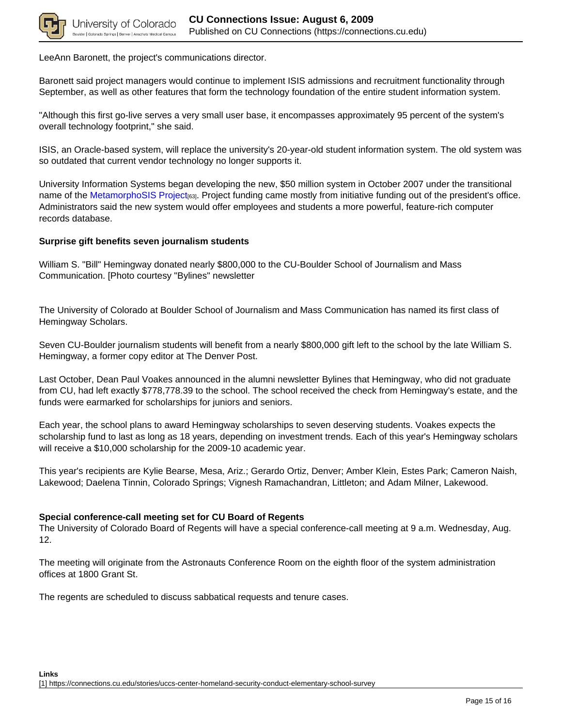

LeeAnn Baronett, the project's communications director.

Baronett said project managers would continue to implement ISIS admissions and recruitment functionality through September, as well as other features that form the technology foundation of the entire student information system.

"Although this first go-live serves a very small user base, it encompasses approximately 95 percent of the system's overall technology footprint," she said.

ISIS, an Oracle-based system, will replace the university's 20-year-old student information system. The old system was so outdated that current vendor technology no longer supports it.

University Information Systems began developing the new, \$50 million system in October 2007 under the transitional name of the MetamorphoSIS Project[63]. Project funding came mostly from initiative funding out of the president's office. Administrators said the new system would offer employees and students a more powerful, feature-rich computer records database.

### **Surprise gift benefits seven journalism students**

William S. "Bill" Hemingway donated nearly \$800,000 to the CU-Boulder School of Journalism and Mass Communication. [Photo courtesy "Bylines" newsletter

The University of Colorado at Boulder School of Journalism and Mass Communication has named its first class of Hemingway Scholars.

Seven CU-Boulder journalism students will benefit from a nearly \$800,000 gift left to the school by the late William S. Hemingway, a former copy editor at The Denver Post.

Last October, Dean Paul Voakes announced in the alumni newsletter Bylines that Hemingway, who did not graduate from CU, had left exactly \$778,778.39 to the school. The school received the check from Hemingway's estate, and the funds were earmarked for scholarships for juniors and seniors.

Each year, the school plans to award Hemingway scholarships to seven deserving students. Voakes expects the scholarship fund to last as long as 18 years, depending on investment trends. Each of this year's Hemingway scholars will receive a \$10,000 scholarship for the 2009-10 academic year.

This year's recipients are Kylie Bearse, Mesa, Ariz.; Gerardo Ortiz, Denver; Amber Klein, Estes Park; Cameron Naish, Lakewood; Daelena Tinnin, Colorado Springs; Vignesh Ramachandran, Littleton; and Adam Milner, Lakewood.

#### **Special conference-call meeting set for CU Board of Regents**

The University of Colorado Board of Regents will have a special conference-call meeting at 9 a.m. Wednesday, Aug. 12.

The meeting will originate from the Astronauts Conference Room on the eighth floor of the system administration offices at 1800 Grant St.

The regents are scheduled to discuss sabbatical requests and tenure cases.